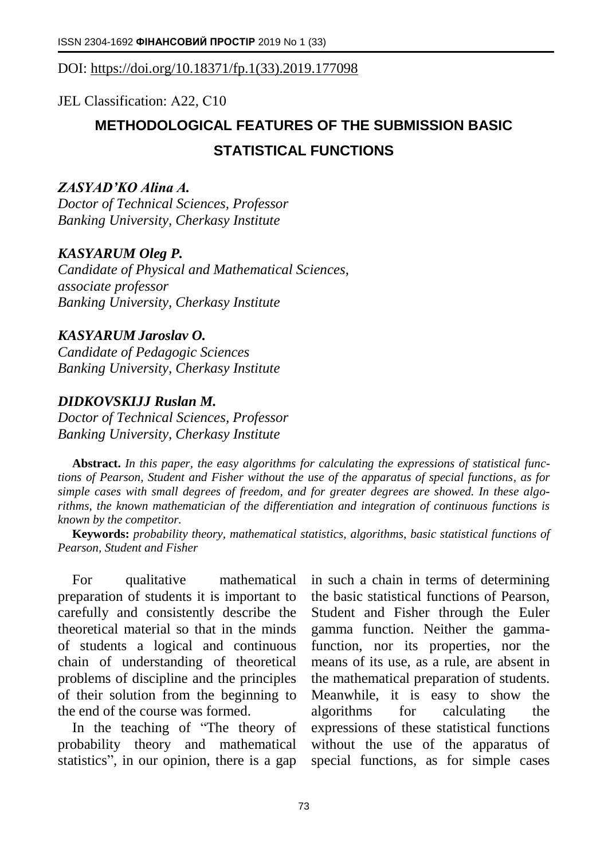# DOI: [https://doi.org/10.18371/fp.1\(33\).2019.177098](https://doi.org/10.18371/fp.1(33).2019.177098)

# JEL Classіfіcatіon: А22, С10

# **METHODOLOGICAL FEATURES OF THE SUBMISSION BASIC STATISTICAL FUNCTIONS**

## *ZASYAD'KO Alina A.*

*Doctor of Technical Sciences, Professor Banking University, Cherkasy Institute*

#### *KASYARUM Oleg P.*

*Candidate of Physical and Mathematical Sciences, associate professor Banking University, Cherkasy Institute*

#### *[KASYARUM](https://ofp.cibs.ubs.edu.ua/files/1604/16kopkfa.pdf) Jaroslav O.*

*Candidate of Pedagogic Sciences Banking University, Cherkasy Institute*

#### *DIDKOVSKIJJ Ruslan M.*

*Doctor of Technical Sciences, Professor Banking University, Cherkasy Institute*

**Abstract.** *In this paper, the easy algorithms for calculating the expressions of statistical functions of Pearson, Student and Fisher without the use of the apparatus of special functions, as for simple cases with small degrees of freedom, and for greater degrees are showed. In these algorithms, the known mathematician of the differentiation and integration of continuous functions is known by the competitor.*

**Keywords:** *probability theory, mathematical statistics, algorithms, basic statistical functions of Pearson, Student and Fisher*

For qualitative mathematical preparation of students it is important to carefully and consistently describe the theoretical material so that in the minds of students a logical and continuous chain of understanding of theoretical problems of discipline and the principles of their solution from the beginning to the end of the course was formed.

In the teaching of "The theory of probability theory and mathematical statistics", in our opinion, there is a gap

in such a chain in terms of determining the basic statistical functions of Pearson, Student and Fisher through the Euler gamma function. Neither the gammafunction, nor its properties, nor the means of its use, as a rule, are absent in the mathematical preparation of students. Meanwhile, it is easy to show the algorithms for calculating the expressions of these statistical functions without the use of the apparatus of special functions, as for simple cases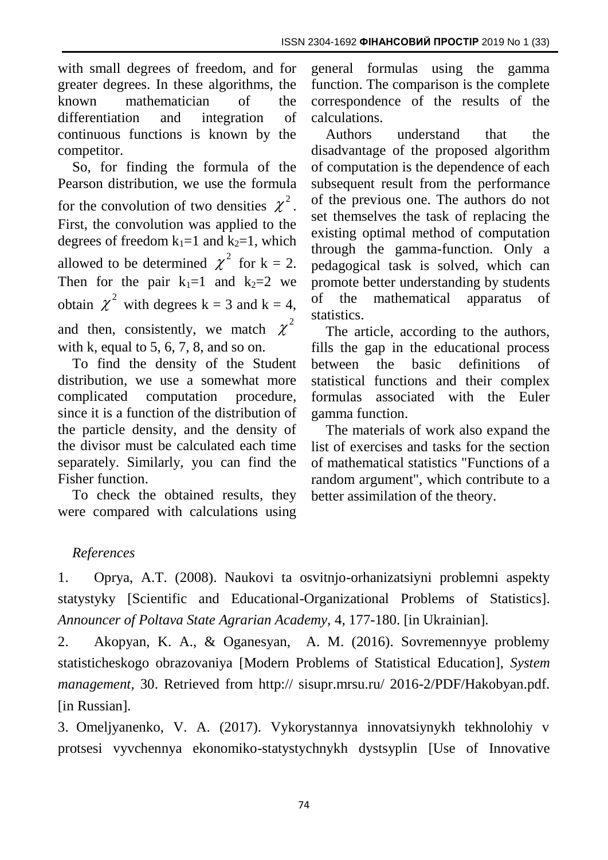with small degrees of freedom, and for greater degrees. In these algorithms, the known mathematician of the differentiation and integration of continuous functions is known by the competitor.

So, for finding the formula of the Pearson distribution, we use the formula for the convolution of two densities  $\chi^2$ . First, the convolution was applied to the degrees of freedom  $k_1=1$  and  $k_2=1$ , which allowed to be determined  $\chi^2$  for k = 2. Then for the pair  $k_1=1$  and  $k_2=2$  we obtain  $\chi^2$  with degrees k = 3 and k = 4, and then, consistently, we match  $\chi^2$ with k, equal to  $5, 6, 7, 8$ , and so on.

To find the density of the Student distribution, we use a somewhat more complicated computation procedure, since it is a function of the distribution of the particle density, and the density of the divisor must be calculated each time separately. Similarly, you can find the Fisher function.

To check the obtained results, they were compared with calculations using

general formulas using the gamma function. The comparison is the complete correspondence of the results of the calculations.

Authors understand that the disadvantage of the proposed algorithm of computation is the dependence of each subsequent result from the performance of the previous one. The authors do not set themselves the task of replacing the existing optimal method of computation through the gamma-function. Only a pedagogical task is solved, which can promote better understanding by students of the mathematical apparatus of statistics.

The article, according to the authors, fills the gap in the educational process between the basic definitions of statistical functions and their complex formulas associated with the Euler gamma function.

The materials of work also expand the list of exercises and tasks for the section of mathematical statistics "Functions of a random argument", which contribute to a better assimilation of the theory.

# *References*

1. Oprya, A.T. (2008). Naukovi ta osvitnjo-orhanizatsiyni problemni aspekty statystyky [Scientific and Educational-Organizational Problems of Statistics]. *Announcer of Poltava State Agrarian Academy,* 4, 177-180. [in Ukrainian].

2. Akopyan, K. A., & Oganesyan, A. M. (2016). Sovremennyye problemy statisticheskogo obrazovaniya [Modern Problems of Statistical Education], *System management,* 30. Retrieved from http:// sisupr.mrsu.ru/ 2016-2/PDF/Hakobyan.pdf. [in Russian].

3. Omeljyanenko, V. A. (2017). Vykorystannya innovatsiynykh tekhnolohiy v protsesi vyvchennya ekonomiko-statystychnykh dystsyplin [Use of Innovative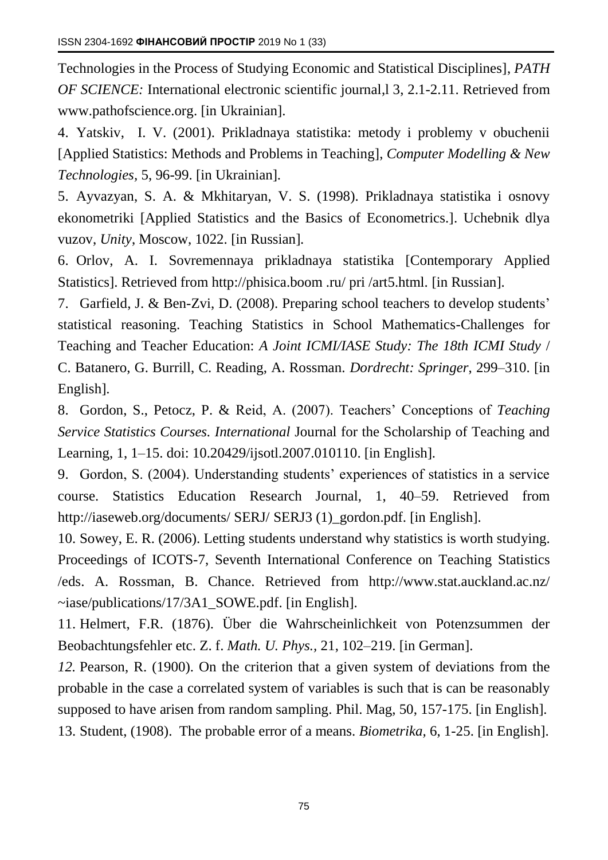Technologies in the Process of Studying Economic and Statistical Disciplines], *PATH OF SCIENCE:* International electronic scientific journal, 13, 2.1-2.11. Retrieved from [www.pathofscience.org.](http://www.pathofscience.org/) [in Ukrainian].

4. Yatskiv, I. V. (2001). Prikladnaya statistika: metody i problemy v obuchenii [Applied Statistics: Methods and Problems in Teaching], *Computer Modelling & New Technologies,* 5, 96-99. [in Ukrainian].

5. Ayvazyan, S. A. & Mkhitaryan, V. S. (1998). Prikladnaya statistika i osnovy ekonometriki [Applied Statistics and the Basics of Econometrics.]. Uchebnik dlya vuzov, *Unity*, Moscow, 1022. [in Russian].

6. Orlov, A. I. Sovremennaya prikladnaya statistika [Contemporary Applied Statistics]. Retrieved from http://phisica.boom .ru/ pri /art5.html. [in Russian].

7. Garfield, J. & Ben-Zvi, D. (2008). Preparing school teachers to develop students' statistical reasoning. Teaching Statistics in School Mathematics-Challenges for Teaching and Teacher Education: *A Joint ICMI/IASE Study: The 18th ICMI Study* / C. Batanero, G. Burrill, C. Reading, A. Rossman. *Dordrecht: Springer*, 299–310. [in English].

8. Gordon, S., Petocz, P. & Reid, A. (2007). Teachers' Conceptions of *Teaching Service Statistics Courses. International* Journal for the Scholarship of Teaching and Learning, 1, 1–15. doi: 10.20429/ijsotl.2007.010110. [in English].

9. Gordon, S. (2004). Understanding students' experiences of statistics in a service course. Statistics Education Research Journal, 1, 40–59. Retrieved from [http://iaseweb.org/documents/ SERJ/](http://iaseweb.org/documents/%20SERJ/) SERJ3 (1) gordon.pdf. [in English].

10. Sowey, E. R. (2006). Letting students understand why statistics is worth studying. Proceedings of ICOTS-7, Seventh International Conference on Teaching Statistics /eds. A. Rossman, B. Chance. Retrieved from [http://www.stat.auckland.ac.nz/](http://www.stat.auckland.ac.nz/~iase/publications/17/3A1_SOWE.pdf)  [~iase/publications/17/3A1\\_SOWE.pdf.](http://www.stat.auckland.ac.nz/~iase/publications/17/3A1_SOWE.pdf) [in English].

11. Helmert, F.R. (1876). Über die Wahrscheinlichkeit von Potenzsummen der Beobachtungsfehler etc. Z. f. *Math. U. Phys.,* 21, 102–219. [in German].

*12.* Pearson, R. (1900). On the criterion that a given system of deviations from the probable in the case a correlated system of variables is such that is can be reasonably supposed to have arisen from random sampling. Phil. Mag, 50, 157-175. [in English].

13. Student, (1908). The probable error of a means. *Biometrika,* 6, 1-25. [in English].